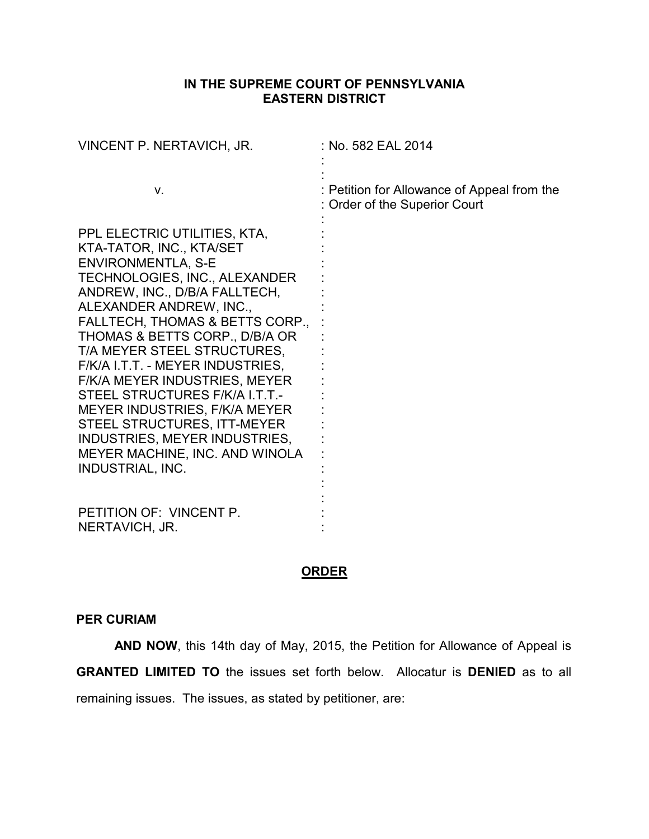## **IN THE SUPREME COURT OF PENNSYLVANIA EASTERN DISTRICT**

| VINCENT P. NERTAVICH, JR.                                                                                                                                                                                                                                                                                                                                                                                                                                                                                                                                   | : No. 582 EAL 2014                                                           |
|-------------------------------------------------------------------------------------------------------------------------------------------------------------------------------------------------------------------------------------------------------------------------------------------------------------------------------------------------------------------------------------------------------------------------------------------------------------------------------------------------------------------------------------------------------------|------------------------------------------------------------------------------|
| V.                                                                                                                                                                                                                                                                                                                                                                                                                                                                                                                                                          | : Petition for Allowance of Appeal from the<br>: Order of the Superior Court |
| PPL ELECTRIC UTILITIES, KTA,<br>KTA-TATOR, INC., KTA/SET<br><b>ENVIRONMENTLA, S-E</b><br>TECHNOLOGIES, INC., ALEXANDER<br>ANDREW, INC., D/B/A FALLTECH,<br>ALEXANDER ANDREW, INC.,<br>FALLTECH, THOMAS & BETTS CORP.,<br>THOMAS & BETTS CORP., D/B/A OR<br>T/A MEYER STEEL STRUCTURES,<br>F/K/A I.T.T. - MEYER INDUSTRIES,<br><b>F/K/A MEYER INDUSTRIES, MEYER</b><br>STEEL STRUCTURES F/K/A I.T.T.-<br>MEYER INDUSTRIES, F/K/A MEYER<br>STEEL STRUCTURES, ITT-MEYER<br>INDUSTRIES, MEYER INDUSTRIES,<br>MEYER MACHINE, INC. AND WINOLA<br>INDUSTRIAL, INC. |                                                                              |
| PETITION OF: VINCENT P.<br>NERTAVICH, JR.                                                                                                                                                                                                                                                                                                                                                                                                                                                                                                                   |                                                                              |

## **ORDER**

## **PER CURIAM**

**AND NOW**, this 14th day of May, 2015, the Petition for Allowance of Appeal is **GRANTED LIMITED TO** the issues set forth below. Allocatur is **DENIED** as to all remaining issues. The issues, as stated by petitioner, are: